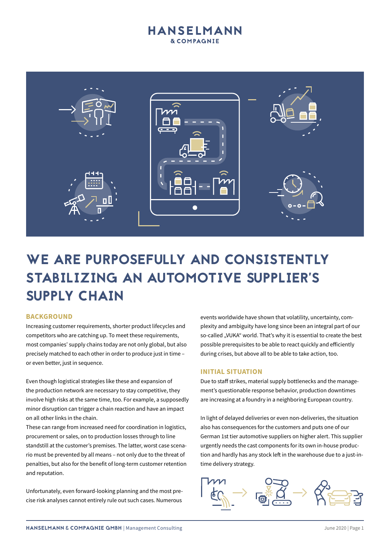

# WE ARE PURPOSEFULLY AND CONSISTENTLY STABILIZING AN AUTOMOTIVE SUPPLIER'S SUPPLY CHAIN

#### **BACKGROUND**

Increasing customer requirements, shorter product lifecycles and competitors who are catching up. To meet these requirements, most companies' supply chains today are not only global, but also precisely matched to each other in order to produce just in time – or even better, just in sequence.

Even though logistical strategies like these and expansion of the production network are necessary to stay competitive, they involve high risks at the same time, too. For example, a supposedly minor disruption can trigger a chain reaction and have an impact on all other links in the chain.

These can range from increased need for coordination in logistics, procurement or sales, on to production losses through to line standstill at the customer's premises. The latter, worst case scenario must be prevented by all means – not only due to the threat of penalties, but also for the benefit of long-term customer retention and reputation.

Unfortunately, even forward-looking planning and the most precise risk analyses cannot entirely rule out such cases. Numerous

events worldwide have shown that volatility, uncertainty, complexity and ambiguity have long since been an integral part of our so-called "VUKA" world. That's why it is essential to create the best possible prerequisites to be able to react quickly and efficiently during crises, but above all to be able to take action, too.

#### **INITIAL SITUATION**

Due to staff strikes, material supply bottlenecks and the management's questionable response behavior, production downtimes are increasing at a foundry in a neighboring European country.

In light of delayed deliveries or even non-deliveries, the situation also has consequences for the customers and puts one of our German 1st tier automotive suppliers on higher alert. This supplier urgently needs the cast components for its own in-house production and hardly has any stock left in the warehouse due to a just-intime delivery strategy.

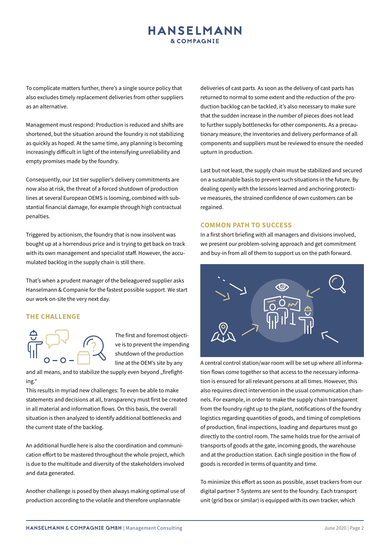To complicate matters further, there's a single source policy that also excludes timely replacement deliveries from other suppliers as an alternative.

Management must respond: Production is reduced and shifts are shortened, but the situation around the foundry is not stabilizing as quickly as hoped. At the same time, any planning is becoming increasingly difficult in light of the intensifying unreliability and empty promises made by the foundry.

Consequently, our 1st tier supplier's delivery commitments are now also at risk, the threat of a forced shutdown of production lines at several European OEMS is looming, combined with substantial financial damage, for example through high contractual penalties.

Triggered by actionism, the foundry that is now insolvent was bought up at a horrendous price and is trying to get back on track with its own management and specialist staff. However, the accumulated backlog in the supply chain is still there.

That's when a prudent manager of the beleaguered supplier asks Hanselmann & Companie for the fastest possible support. We start our work on-site the very next day.

#### **THE CHALLENGE**



The first and foremost objective is to prevent the impending shutdown of the production line at the OEM's site by any

and all means, and to stabilize the supply even beyond "firefighting."

This results in myriad new challenges: To even be able to make statements and decisions at all, transparency must first be created in all material and information flows. On this basis, the overall situation is then analyzed to identify additional bottlenecks and the current state of the backlog.

An additional hurdle here is also the coordination and communication effort to be mastered throughout the whole project, which is due to the multitude and diversity of the stakeholders involved and data generated.

Another challenge is posed by then always making optimal use of production according to the volatile and therefore unplannable

deliveries of cast parts. As soon as the delivery of cast parts has returned to normal to some extent and the reduction of the production backlog can be tackled, it's also necessary to make sure that the sudden increase in the number of pieces does not lead to further supply bottlenecks for other components. As a precautionary measure, the inventories and delivery performance of all components and suppliers must be reviewed to ensure the needed upturn in production.

Last but not least, the supply chain must be stabilized and secured on a sustainable basis to prevent such situations in the future. By dealing openly with the lessons learned and anchoring protective measures, the strained confidence of own customers can be regained.

#### **COMMON PATH TO SUCCESS**

In a first short briefing with all managers and divisions involved, we present our problem-solving approach and get commitment and buy-in from all of them to support us on the path forward.



A central control station/war room will be set up where all information flows come together so that access to the necessary information is ensured for all relevant persons at all times. However, this also requires direct intervention in the usual communication channels. For example, in order to make the supply chain transparent from the foundry right up to the plant, notifications of the foundry logistics regarding quantities of goods, and timing of completions of production, final inspections, loading and departures must go directly to the control room. The same holds true for the arrival of transports of goods at the gate, incoming goods, the warehouse and at the production station. Each single position in the flow of goods is recorded in terms of quantity and time.

To minimize this effort as soon as possible, asset trackers from our digital partner T-Systems are sent to the foundry. Each transport unit (grid box or similar) is equipped with its own tracker, which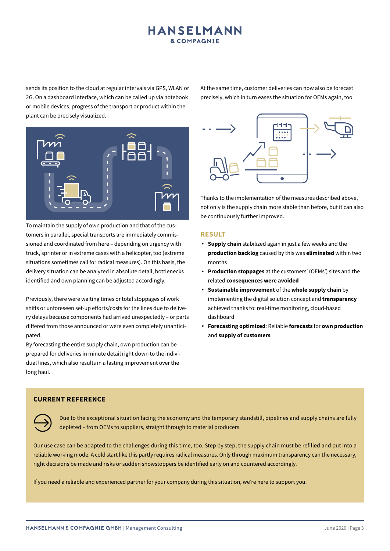sends its position to the cloud at regular intervals via GPS, WLAN or 2G. On a dashboard interface, which can be called up via notebook or mobile devices, progress of the transport or product within the plant can be precisely visualized.

At the same time, customer deliveries can now also be forecast precisely, which in turn eases the situation for OEMs again, too.



To maintain the supply of own production and that of the customers in parallel, special transports are immediately commissioned and coordinated from here – depending on urgency with truck, sprinter or in extreme cases with a helicopter, too (extreme situations sometimes call for radical measures). On this basis, the delivery situation can be analyzed in absolute detail, bottlenecks identified and own planning can be adjusted accordingly.

Previously, there were waiting times or total stoppages of work shifts or unforeseen set-up efforts/costs for the lines due to delivery delays because components had arrived unexpectedly – or parts differed from those announced or were even completely unanticipated.

By forecasting the entire supply chain, own production can be prepared for deliveries in minute detail right down to the individual lines, which also results in a lasting improvement over the long haul.



Thanks to the implementation of the measures described above, not only is the supply chain more stable than before, but it can also be continuously further improved.

#### **RESULT**

- **Supply chain** stabilized again in just a few weeks and the **production backlog** caused by this was **eliminated** within two months
- **Production stoppages** at the customers' (OEMs') sites and the related **consequences were avoided**
- **Sustainable improvement** of the **whole supply chain** by implementing the digital solution concept and **transparency** achieved thanks to: real-time monitoring, cloud-based dashboard
- **Forecasting optimized**: Reliable **forecasts** for **own production**  and **supply of customers**

#### **CURRENT REFERENCE**



Due to the exceptional situation facing the economy and the temporary standstill, pipelines and supply chains are fully depleted – from OEMs to suppliers, straight through to material producers.

Our use case can be adapted to the challenges during this time, too. Step by step, the supply chain must be refilled and put into a reliable working mode. A cold start like this partly requires radical measures. Only through maximum transparency can the necessary, right decisions be made and risks or sudden showstoppers be identified early on and countered accordingly.

If you need a reliable and experienced partner for your company during this situation, we're here to support you.